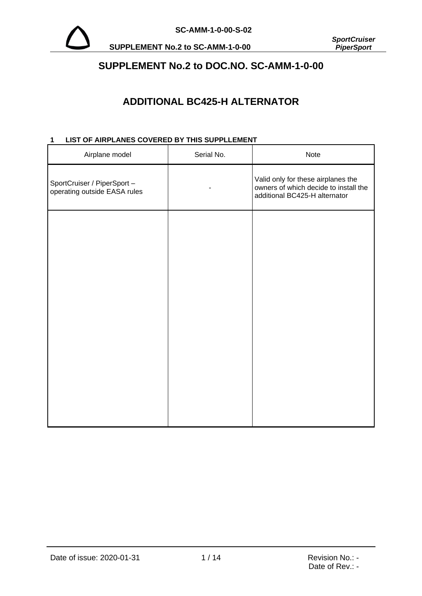

**SUPPLEMENT No.2 to SC-AMM-1-0-00** 

# **SUPPLEMENT No.2 to DOC.NO. SC-AMM-1-0-00**

# **ADDITIONAL BC425-H ALTERNATOR**

# **1 LIST OF AIRPLANES COVERED BY THIS SUPPLLEMENT**

| Airplane model                                              | Serial No. | Note                                                                                                         |
|-------------------------------------------------------------|------------|--------------------------------------------------------------------------------------------------------------|
| SportCruiser / PiperSport -<br>operating outside EASA rules |            | Valid only for these airplanes the<br>owners of which decide to install the<br>additional BC425-H alternator |
|                                                             |            |                                                                                                              |
|                                                             |            |                                                                                                              |
|                                                             |            |                                                                                                              |
|                                                             |            |                                                                                                              |
|                                                             |            |                                                                                                              |
|                                                             |            |                                                                                                              |
|                                                             |            |                                                                                                              |
|                                                             |            |                                                                                                              |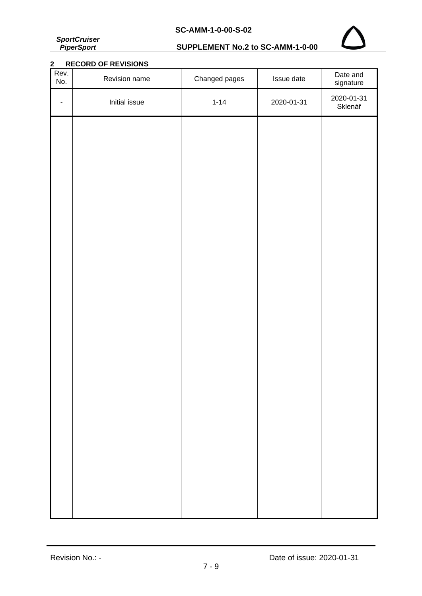*SportCruiser PiperSport*

# **SUPPLEMENT No.2 to SC-AMM-1-0-00**



# **2 RECORD OF REVISIONS**

| Rev.<br>No. | Revision name | Changed pages | Issue date | Date and<br>signature |
|-------------|---------------|---------------|------------|-----------------------|
| ٠           | Initial issue | $1 - 14$      | 2020-01-31 | 2020-01-31<br>Sklenář |
|             |               |               |            |                       |
|             |               |               |            |                       |
|             |               |               |            |                       |
|             |               |               |            |                       |
|             |               |               |            |                       |
|             |               |               |            |                       |
|             |               |               |            |                       |
|             |               |               |            |                       |
|             |               |               |            |                       |
|             |               |               |            |                       |
|             |               |               |            |                       |
|             |               |               |            |                       |
|             |               |               |            |                       |
|             |               |               |            |                       |
|             |               |               |            |                       |
|             |               |               |            |                       |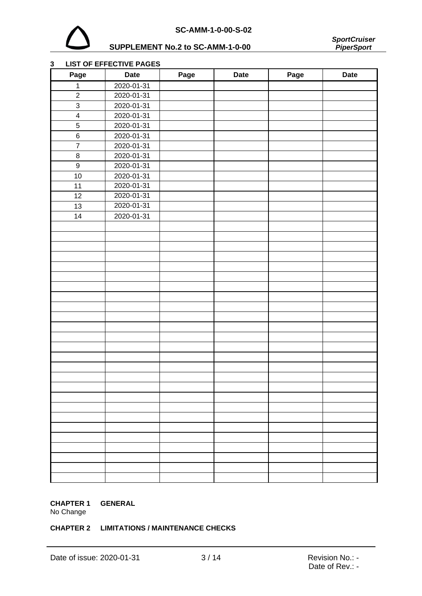

# **SUPPLEMENT No.2 to SC-AMM-1-0-00**



## **LIST OF EFFECTIVE PAGES**

| Page                    | <b>Date</b> | Page | <b>Date</b> | Page | <b>Date</b> |
|-------------------------|-------------|------|-------------|------|-------------|
| $\mathbf 1$             | 2020-01-31  |      |             |      |             |
| $\overline{c}$          | 2020-01-31  |      |             |      |             |
| 3                       | 2020-01-31  |      |             |      |             |
| $\overline{\mathbf{4}}$ | 2020-01-31  |      |             |      |             |
| $\sqrt{5}$              | 2020-01-31  |      |             |      |             |
| $\,6$                   | 2020-01-31  |      |             |      |             |
| $\overline{7}$          | 2020-01-31  |      |             |      |             |
| $\bf 8$                 | 2020-01-31  |      |             |      |             |
| $\boldsymbol{9}$        | 2020-01-31  |      |             |      |             |
| 10                      | 2020-01-31  |      |             |      |             |
| 11                      | 2020-01-31  |      |             |      |             |
| 12                      | 2020-01-31  |      |             |      |             |
| 13                      | 2020-01-31  |      |             |      |             |
| 14                      | 2020-01-31  |      |             |      |             |
|                         |             |      |             |      |             |
|                         |             |      |             |      |             |
|                         |             |      |             |      |             |
|                         |             |      |             |      |             |
|                         |             |      |             |      |             |
|                         |             |      |             |      |             |
|                         |             |      |             |      |             |
|                         |             |      |             |      |             |
|                         |             |      |             |      |             |
|                         |             |      |             |      |             |
|                         |             |      |             |      |             |
|                         |             |      |             |      |             |
|                         |             |      |             |      |             |
|                         |             |      |             |      |             |
|                         |             |      |             |      |             |
|                         |             |      |             |      |             |
|                         |             |      |             |      |             |
|                         |             |      |             |      |             |
|                         |             |      |             |      |             |
|                         |             |      |             |      |             |
|                         |             |      |             |      |             |
|                         |             |      |             |      |             |
|                         |             |      |             |      |             |
|                         |             |      |             |      |             |
|                         |             |      |             |      |             |
|                         |             |      |             |      |             |

## **CHAPTER 1 GENERAL**

No Change

## **CHAPTER 2 LIMITATIONS / MAINTENANCE CHECKS**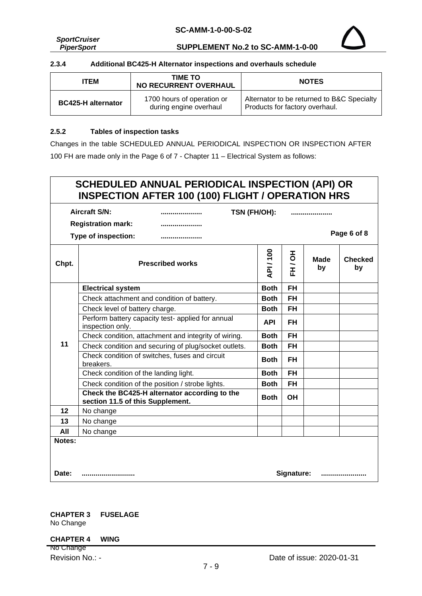*SportCruiser PiperSport*

**SUPPLEMENT No.2 to SC-AMM-1-0-00**



### **2.3.4 Additional BC425-H Alternator inspections and overhauls schedule**

| <b>ITEM</b>               | TIME TO<br><b>NO RECURRENT OVERHAUL</b>              | <b>NOTES</b>                                                                 |
|---------------------------|------------------------------------------------------|------------------------------------------------------------------------------|
| <b>BC425-H alternator</b> | 1700 hours of operation or<br>during engine overhaul | Alternator to be returned to B&C Specialty<br>Products for factory overhaul. |

#### **2.5.2 Tables of inspection tasks**

Changes in the table SCHEDULED ANNUAL PERIODICAL INSPECTION OR INSPECTION AFTER 100 FH are made only in the Page 6 of 7 - Chapter 11 – Electrical System as follows:

## **SCHEDULED ANNUAL PERIODICAL INSPECTION (API) OR INSPECTION AFTER 100 (100) FLIGHT / OPERATION HRS Aircraft S/N: ..................... Registration mark: ..................... Type of inspection: ..................... TSN (FH/OH): ..................... Page 6 of 8 Chpt. Prescribed works API / 100 FH / OH Made by Checked by 11 Electrical system Both FH** Check attachment and condition of battery. **Both FH** Check level of battery charge. **Both FH** Perform battery capacity test- applied for annual **API API FH**<br>inspection only. Check condition, attachment and integrity of wiring. **Both FH** Check condition and securing of plug/socket outlets. **Both** FH Check condition of switches, fuses and circuit **Both FH**<br>breakers. Check condition of the landing light. **Both FH** Check condition of the position / strobe lights. **Both** | FH **Check the BC425-H alternator according to the section 11.5 of this Supplement. Both OH 12** No change **13** No change **All** No change **Notes: Date: ........................... Signature: .......................**

**CHAPTER 3 FUSELAGE** No Change

#### **CHAPTER 4 WING**

No Change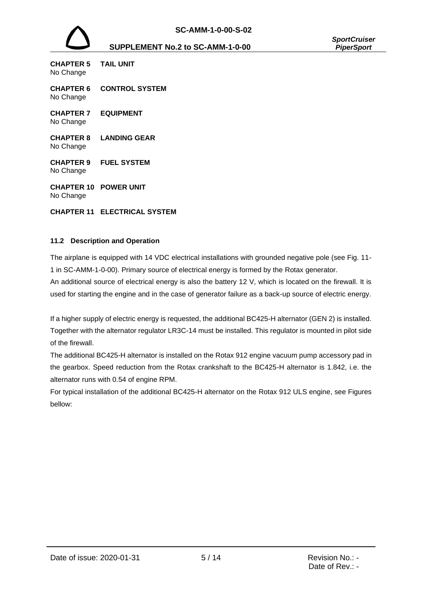

#### **SUPPLEMENT No.2 to SC-AMM-1-0-00** *PiperSport*

| CHAPTER 5<br>No Change        | <b>TAIL UNIT</b>      |
|-------------------------------|-----------------------|
| <b>CHAPTER 6</b><br>No Change | <b>CONTROL SYSTEM</b> |
| <b>CHAPTER 7</b><br>No Change | <b>EQUIPMENT</b>      |
| <b>CHAPTER 8</b><br>No Change | LANDING GEAR          |
| <b>CHAPTER 9</b><br>No Change | <b>FUEL SYSTEM</b>    |
| CHAPTER 10<br>No Change       | <b>POWER UNIT</b>     |

## **CHAPTER 11 ELECTRICAL SYSTEM**

## **11.2 Description and Operation**

The airplane is equipped with 14 VDC electrical installations with grounded negative pole (see Fig. 11- 1 in SC-AMM-1-0-00). Primary source of electrical energy is formed by the Rotax generator.

An additional source of electrical energy is also the battery 12 V, which is located on the firewall. It is used for starting the engine and in the case of generator failure as a back-up source of electric energy.

If a higher supply of electric energy is requested, the additional BC425-H alternator (GEN 2) is installed. Together with the alternator regulator LR3C-14 must be installed. This regulator is mounted in pilot side of the firewall.

The additional BC425-H alternator is installed on the Rotax 912 engine vacuum pump accessory pad in the gearbox. Speed reduction from the Rotax crankshaft to the BC425-H alternator is 1.842, i.e. the alternator runs with 0.54 of engine RPM.

For typical installation of the additional BC425-H alternator on the Rotax 912 ULS engine, see Figures bellow: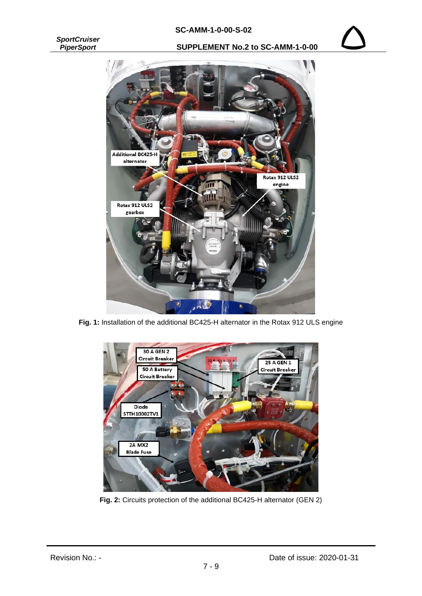## **SC-AMM-1-0-00-S-02**

*SportCruiser PiperSport*

**SUPPLEMENT No.2 to SC-AMM-1-0-00**



**Fig. 1:** Installation of the additional BC425-H alternator in the Rotax 912 ULS engine



**Fig. 2:** Circuits protection of the additional BC425-H alternator (GEN 2)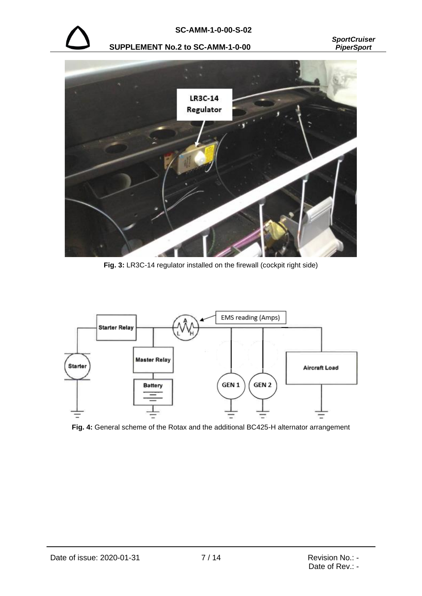

**SUPPLEMENT No.2 to SC-AMM-1-0-00** *PiperSport*

*SportCruiser*



Fig. 3: LR3C-14 regulator installed on the firewall (cockpit right side)



**Fig. 4:** General scheme of the Rotax and the additional BC425-H alternator arrangement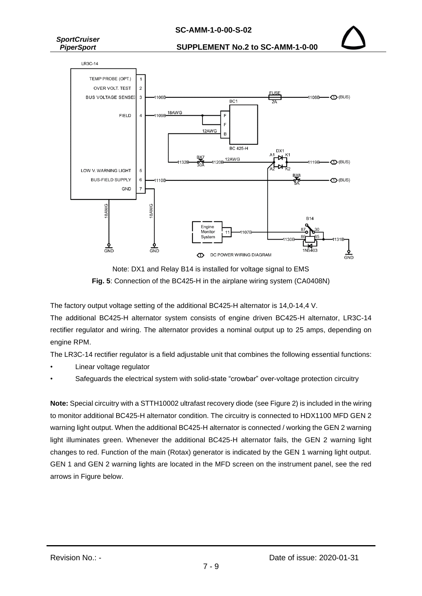## **SC-AMM-1-0-00-S-02**



**SUPPLEMENT No.2 to SC-AMM-1-0-00**





The factory output voltage setting of the additional BC425-H alternator is 14,0-14,4 V.

The additional BC425-H alternator system consists of engine driven BC425-H alternator, LR3C-14 rectifier regulator and wiring. The alternator provides a nominal output up to 25 amps, depending on engine RPM.

The LR3C-14 rectifier regulator is a field adjustable unit that combines the following essential functions:

- Linear voltage regulator
- Safeguards the electrical system with solid-state "crowbar" over-voltage protection circuitry

**Note:** Special circuitry with a STTH10002 ultrafast recovery diode (see Figure 2) is included in the wiring to monitor additional BC425-H alternator condition. The circuitry is connected to HDX1100 MFD GEN 2 warning light output. When the additional BC425-H alternator is connected / working the GEN 2 warning light illuminates green. Whenever the additional BC425-H alternator fails, the GEN 2 warning light changes to red. Function of the main (Rotax) generator is indicated by the GEN 1 warning light output. GEN 1 and GEN 2 warning lights are located in the MFD screen on the instrument panel, see the red arrows in Figure below.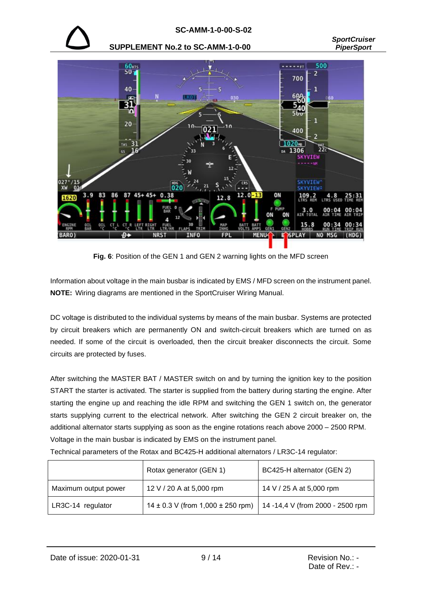

#### **SUPPLEMENT No.2 to SC-AMM-1-0-00** *PiperSport*



**Fig. 6**: Position of the GEN 1 and GEN 2 warning lights on the MFD screen

Information about voltage in the main busbar is indicated by EMS / MFD screen on the instrument panel. **NOTE:** Wiring diagrams are mentioned in the SportCruiser Wiring Manual.

DC voltage is distributed to the individual systems by means of the main busbar. Systems are protected by circuit breakers which are permanently ON and switch-circuit breakers which are turned on as needed. If some of the circuit is overloaded, then the circuit breaker disconnects the circuit. Some circuits are protected by fuses.

After switching the MASTER BAT / MASTER switch on and by turning the ignition key to the position START the starter is activated. The starter is supplied from the battery during starting the engine. After starting the engine up and reaching the idle RPM and switching the GEN 1 switch on, the generator starts supplying current to the electrical network. After switching the GEN 2 circuit breaker on, the additional alternator starts supplying as soon as the engine rotations reach above 2000 – 2500 RPM. Voltage in the main busbar is indicated by EMS on the instrument panel.

Technical parameters of the Rotax and BC425-H additional alternators / LR3C-14 regulator:

|                      | Rotax generator (GEN 1)                   | BC425-H alternator (GEN 2)       |
|----------------------|-------------------------------------------|----------------------------------|
| Maximum output power | 12 V / 20 A at 5,000 rpm                  | 14 V / 25 A at 5,000 rpm         |
| LR3C-14 regulator    | $14 \pm 0.3$ V (from 1,000 $\pm$ 250 rpm) | 14 -14,4 V (from 2000 - 2500 rpm |

Date of issue: 2020-01-31 9/ 14 9 = 9 = Revision No.: -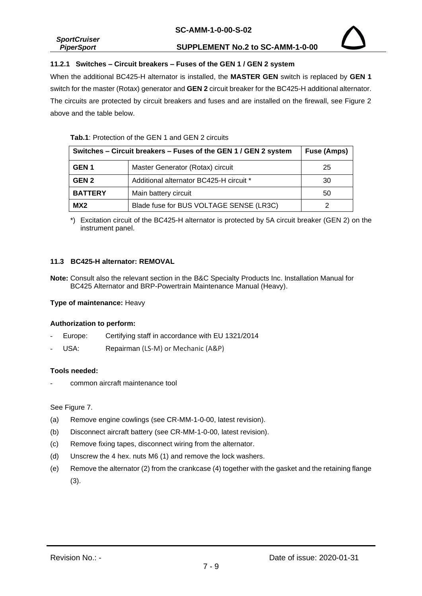|                     | <u> 99 ANIN I V VV 9 VL</u>      |
|---------------------|----------------------------------|
| <b>SportCruiser</b> |                                  |
| <b>PiperSport</b>   | SUPPLEMENT No.2 to SC-AMM-1-0-00 |

## **11.2.1 Switches – Circuit breakers – Fuses of the GEN 1 / GEN 2 system**

When the additional BC425-H alternator is installed, the **MASTER GEN** switch is replaced by **GEN 1** switch for the master (Rotax) generator and **GEN 2** circuit breaker for the BC425-H additional alternator. The circuits are protected by circuit breakers and fuses and are installed on the firewall, see Figure 2 above and the table below.

## **Tab.1**: Protection of the GEN 1 and GEN 2 circuits

| Switches - Circuit breakers - Fuses of the GEN 1 / GEN 2 system |                                         | <b>Fuse (Amps)</b> |
|-----------------------------------------------------------------|-----------------------------------------|--------------------|
| GEN <sub>1</sub>                                                | Master Generator (Rotax) circuit        | 25                 |
| GEN <sub>2</sub>                                                | Additional alternator BC425-H circuit * | 30                 |
| <b>BATTERY</b>                                                  | Main battery circuit                    | 50                 |
| MX2                                                             | Blade fuse for BUS VOLTAGE SENSE (LR3C) |                    |

\*) Excitation circuit of the BC425-H alternator is protected by 5A circuit breaker (GEN 2) on the instrument panel.

## **11.3 BC425-H alternator: REMOVAL**

**Note:** Consult also the relevant section in the B&C Specialty Products Inc. Installation Manual for BC425 Alternator and BRP-Powertrain Maintenance Manual (Heavy).

## **Type of maintenance:** Heavy

## **Authorization to perform:**

- Europe: Certifying staff in accordance with EU 1321/2014
- USA: Repairman (LS-M) or Mechanic (A&P)

## **Tools needed:**

- common aircraft maintenance tool

## See Figure 7.

- (a) Remove engine cowlings (see CR-MM-1-0-00, latest revision).
- (b) Disconnect aircraft battery (see CR-MM-1-0-00, latest revision).
- (c) Remove fixing tapes, disconnect wiring from the alternator.
- (d) Unscrew the 4 hex. nuts M6 (1) and remove the lock washers.
- (e) Remove the alternator (2) from the crankcase (4) together with the gasket and the retaining flange (3).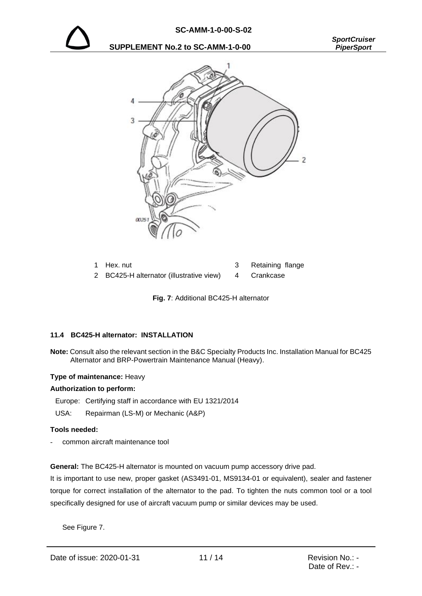





| 1 Hex. nut                                           | Retaining flange |
|------------------------------------------------------|------------------|
| 2 BC425-H alternator (illustrative view) 4 Crankcase |                  |

**Fig. 7**: Additional BC425-H alternator

## **11.4 BC425-H alternator: INSTALLATION**

**Note:** Consult also the relevant section in the B&C Specialty Products Inc. Installation Manual for BC425 Alternator and BRP-Powertrain Maintenance Manual (Heavy).

#### **Type of maintenance:** Heavy

#### **Authorization to perform:**

Europe: Certifying staff in accordance with EU 1321/2014

USA: Repairman (LS-M) or Mechanic (A&P)

#### **Tools needed:**

- common aircraft maintenance tool

**General:** The BC425-H alternator is mounted on vacuum pump accessory drive pad.

It is important to use new, proper gasket (AS3491-01, MS9134-01 or equivalent), sealer and fastener torque for correct installation of the alternator to the pad. To tighten the nuts common tool or a tool specifically designed for use of aircraft vacuum pump or similar devices may be used.

See Figure 7.

Date of issue: 2020-01-31 11/14 Revision No.: -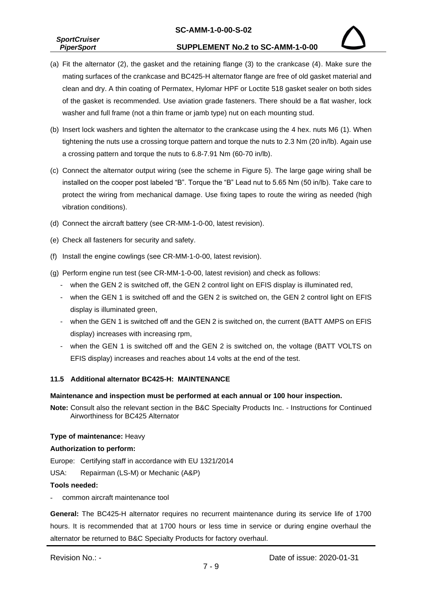## **SC-AMM-1-0-00-S-02**

| <b>SportCruiser</b> |  |
|---------------------|--|
| <b>PiperSport</b>   |  |

- (a) Fit the alternator (2), the gasket and the retaining flange (3) to the crankcase (4). Make sure the mating surfaces of the crankcase and BC425-H alternator flange are free of old gasket material and clean and dry. A thin coating of Permatex, Hylomar HPF or Loctite 518 gasket sealer on both sides of the gasket is recommended. Use aviation grade fasteners. There should be a flat washer, lock washer and full frame (not a thin frame or jamb type) nut on each mounting stud.
- (b) Insert lock washers and tighten the alternator to the crankcase using the 4 hex. nuts M6 (1). When tightening the nuts use a crossing torque pattern and torque the nuts to 2.3 Nm (20 in/lb). Again use a crossing pattern and torque the nuts to 6.8-7.91 Nm (60-70 in/lb).
- (c) Connect the alternator output wiring (see the scheme in Figure 5). The large gage wiring shall be installed on the cooper post labeled "B". Torque the "B" Lead nut to 5.65 Nm (50 in/lb). Take care to protect the wiring from mechanical damage. Use fixing tapes to route the wiring as needed (high vibration conditions).
- (d) Connect the aircraft battery (see CR-MM-1-0-00, latest revision).
- (e) Check all fasteners for security and safety.
- (f) Install the engine cowlings (see CR-MM-1-0-00, latest revision).
- (g) Perform engine run test (see CR-MM-1-0-00, latest revision) and check as follows:
	- when the GEN 2 is switched off, the GEN 2 control light on EFIS display is illuminated red,
	- when the GEN 1 is switched off and the GEN 2 is switched on, the GEN 2 control light on EFIS display is illuminated green,
	- when the GEN 1 is switched off and the GEN 2 is switched on, the current (BATT AMPS on EFIS display) increases with increasing rpm,
	- when the GEN 1 is switched off and the GEN 2 is switched on, the voltage (BATT VOLTS on EFIS display) increases and reaches about 14 volts at the end of the test.

## **11.5 Additional alternator BC425-H: MAINTENANCE**

## **Maintenance and inspection must be performed at each annual or 100 hour inspection.**

**Note:** Consult also the relevant section in the B&C Specialty Products Inc. - Instructions for Continued Airworthiness for BC425 Alternator

## **Type of maintenance:** Heavy

## **Authorization to perform:**

Europe: Certifying staff in accordance with EU 1321/2014

USA: Repairman (LS-M) or Mechanic (A&P)

## **Tools needed:**

- common aircraft maintenance tool

**General:** The BC425-H alternator requires no recurrent maintenance during its service life of 1700 hours. It is recommended that at 1700 hours or less time in service or during engine overhaul the alternator be returned to B&C Specialty Products for factory overhaul.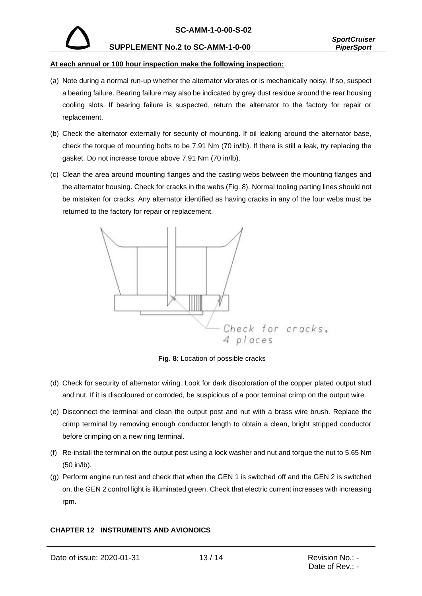

#### **At each annual or 100 hour inspection make the following inspection:**

- (a) Note during a normal run-up whether the alternator vibrates or is mechanically noisy. If so, suspect a bearing failure. Bearing failure may also be indicated by grey dust residue around the rear housing cooling slots. If bearing failure is suspected, return the alternator to the factory for repair or replacement.
- (b) Check the alternator externally for security of mounting. If oil leaking around the alternator base, check the torque of mounting bolts to be 7.91 Nm (70 in/lb). If there is still a leak, try replacing the gasket. Do not increase torque above 7.91 Nm (70 in/lb).
- (c) Clean the area around mounting flanges and the casting webs between the mounting flanges and the alternator housing. Check for cracks in the webs (Fig. 8). Normal tooling parting lines should not be mistaken for cracks. Any alternator identified as having cracks in any of the four webs must be returned to the factory for repair or replacement.



**Fig. 8**: Location of possible cracks

- (d) Check for security of alternator wiring. Look for dark discoloration of the copper plated output stud and nut. If it is discoloured or corroded, be suspicious of a poor terminal crimp on the output wire.
- (e) Disconnect the terminal and clean the output post and nut with a brass wire brush. Replace the crimp terminal by removing enough conductor length to obtain a clean, bright stripped conductor before crimping on a new ring terminal.
- (f) Re-install the terminal on the output post using a lock washer and nut and torque the nut to 5.65 Nm (50 in/lb).
- (g) Perform engine run test and check that when the GEN 1 is switched off and the GEN 2 is switched on, the GEN 2 control light is illuminated green. Check that electric current increases with increasing rpm.

## **CHAPTER 12 INSTRUMENTS AND AVIONOICS**